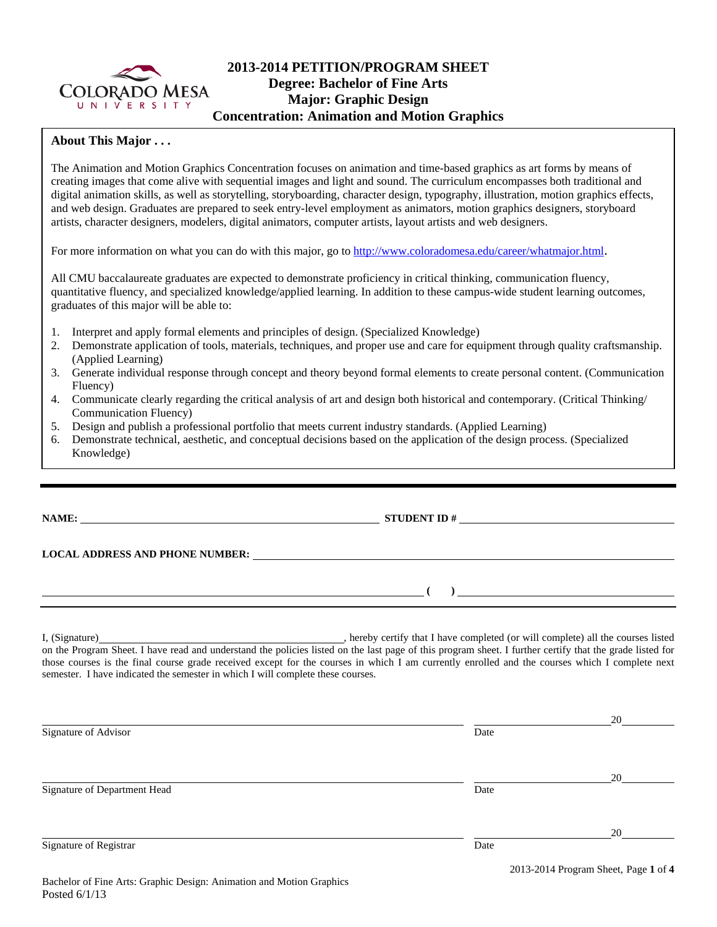

# **2013-2014 PETITION/PROGRAM SHEET Degree: Bachelor of Fine Arts Major: Graphic Design Concentration: Animation and Motion Graphics**

### **About This Major . . .**

The Animation and Motion Graphics Concentration focuses on animation and time-based graphics as art forms by means of creating images that come alive with sequential images and light and sound. The curriculum encompasses both traditional and digital animation skills, as well as storytelling, storyboarding, character design, typography, illustration, motion graphics effects, and web design. Graduates are prepared to seek entry-level employment as animators, motion graphics designers, storyboard artists, character designers, modelers, digital animators, computer artists, layout artists and web designers.

For more information on what you can do with this major, go to http://www.coloradomesa.edu/career/whatmajor.html.

All CMU baccalaureate graduates are expected to demonstrate proficiency in critical thinking, communication fluency, quantitative fluency, and specialized knowledge/applied learning. In addition to these campus-wide student learning outcomes, graduates of this major will be able to:

- 1. Interpret and apply formal elements and principles of design. (Specialized Knowledge)
- 2. Demonstrate application of tools, materials, techniques, and proper use and care for equipment through quality craftsmanship. (Applied Learning)
- 3. Generate individual response through concept and theory beyond formal elements to create personal content. (Communication Fluency)
- 4. Communicate clearly regarding the critical analysis of art and design both historical and contemporary. (Critical Thinking/ Communication Fluency)
- 5. Design and publish a professional portfolio that meets current industry standards. (Applied Learning)
- 6. Demonstrate technical, aesthetic, and conceptual decisions based on the application of the design process. (Specialized Knowledge)

## **NAME: STUDENT ID #**

 $($   $)$   $)$ 

**LOCAL ADDRESS AND PHONE NUMBER:**

I, (Signature) , hereby certify that I have completed (or will complete) all the courses listed on the Program Sheet. I have read and understand the policies listed on the last page of this program sheet. I further certify that the grade listed for those courses is the final course grade received except for the courses in which I am currently enrolled and the courses which I complete next semester. I have indicated the semester in which I will complete these courses.

|                              |      | 20                                   |
|------------------------------|------|--------------------------------------|
| Signature of Advisor         | Date |                                      |
|                              |      |                                      |
|                              |      | 20                                   |
| Signature of Department Head | Date |                                      |
|                              |      | 20                                   |
| Signature of Registrar       | Date |                                      |
|                              |      | 2013-2014 Program Sheet, Page 1 of 4 |

2013-2014 Program Sheet, Page **1** of **4**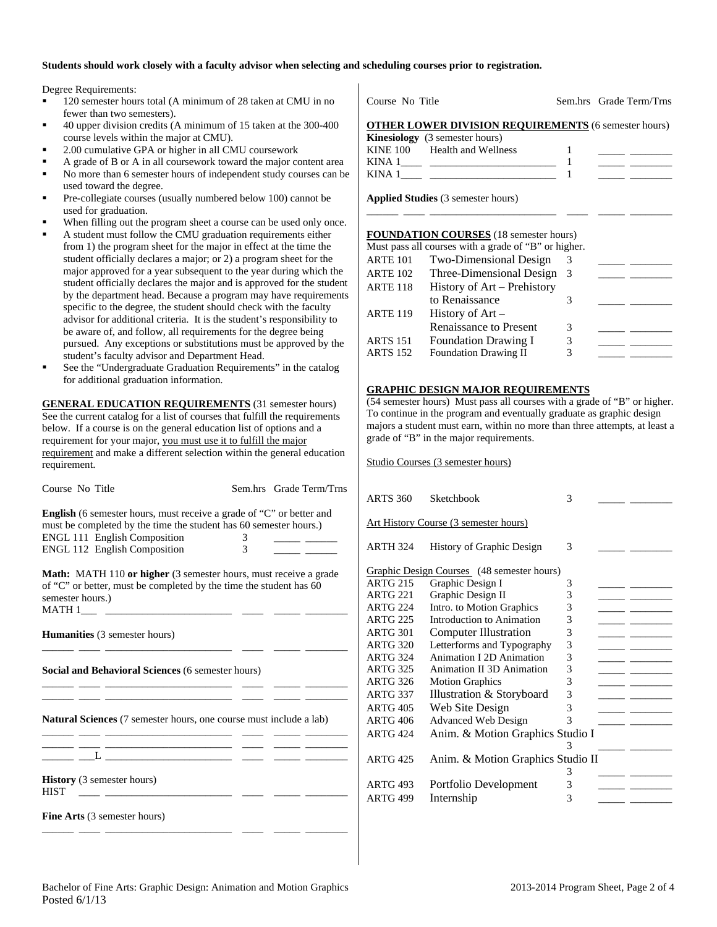#### **Students should work closely with a faculty advisor when selecting and scheduling courses prior to registration.**

Degree Requirements:

- 120 semester hours total (A minimum of 28 taken at CMU in no fewer than two semesters).
- 40 upper division credits (A minimum of 15 taken at the 300-400 course levels within the major at CMU).
- 2.00 cumulative GPA or higher in all CMU coursework
- A grade of B or A in all coursework toward the major content area
- No more than 6 semester hours of independent study courses can be used toward the degree.
- Pre-collegiate courses (usually numbered below 100) cannot be used for graduation.
- When filling out the program sheet a course can be used only once.
- A student must follow the CMU graduation requirements either from 1) the program sheet for the major in effect at the time the student officially declares a major; or 2) a program sheet for the major approved for a year subsequent to the year during which the student officially declares the major and is approved for the student by the department head. Because a program may have requirements specific to the degree, the student should check with the faculty advisor for additional criteria. It is the student's responsibility to be aware of, and follow, all requirements for the degree being pursued. Any exceptions or substitutions must be approved by the student's faculty advisor and Department Head.
- See the "Undergraduate Graduation Requirements" in the catalog for additional graduation information.

**GENERAL EDUCATION REQUIREMENTS** (31 semester hours) See the current catalog for a list of courses that fulfill the requirements below. If a course is on the general education list of options and a requirement for your major, you must use it to fulfill the major requirement and make a different selection within the general education requirement.

| Course No Title                                                                                                                                                                                                                   |  | Sem.hrs Grade Term/Trns |  |  |  |  |  |  |  |
|-----------------------------------------------------------------------------------------------------------------------------------------------------------------------------------------------------------------------------------|--|-------------------------|--|--|--|--|--|--|--|
| <b>English</b> (6 semester hours, must receive a grade of "C" or better and<br>must be completed by the time the student has 60 semester hours.)<br>ENGL 111 English Composition<br>3<br><b>ENGL 112 English Composition</b><br>3 |  |                         |  |  |  |  |  |  |  |
| <b>Math:</b> MATH 110 or higher (3 semester hours, must receive a grade<br>of "C" or better, must be completed by the time the student has 60<br>semester hours.)                                                                 |  |                         |  |  |  |  |  |  |  |
| <b>Humanities</b> (3 semester hours)                                                                                                                                                                                              |  |                         |  |  |  |  |  |  |  |
| Social and Behavioral Sciences (6 semester hours)                                                                                                                                                                                 |  |                         |  |  |  |  |  |  |  |
| Natural Sciences (7 semester hours, one course must include a lab)<br><u> 1989 - Johann Stein, mars et al. 1989 - Anna ann an t-Anna ann an t-Anna ann an t-Anna ann an t-Anna ann an t-</u>                                      |  |                         |  |  |  |  |  |  |  |
|                                                                                                                                                                                                                                   |  |                         |  |  |  |  |  |  |  |
| <b>History</b> (3 semester hours)<br><b>HIST</b><br><u> 1982 - Andrea Albert III, poet e presentar establecidad e a contrador de la contrador de la contrador de la c</u>                                                         |  |                         |  |  |  |  |  |  |  |
| <b>Fine Arts</b> (3 semester hours)                                                                                                                                                                                               |  |                         |  |  |  |  |  |  |  |

| Course No Title |  | Sem.hrs Grade Term/Trns |
|-----------------|--|-------------------------|
|                 |  |                         |

#### **OTHER LOWER DIVISION REQUIREMENTS** (6 semester hours)

|        | <b>Kinesiology</b> (3 semester hours) |  |
|--------|---------------------------------------|--|
|        | KINE 100 Health and Wellness          |  |
| KINA 1 |                                       |  |
| KINA 1 |                                       |  |
|        |                                       |  |

\_\_\_\_\_\_ \_\_\_\_ \_\_\_\_\_\_\_\_\_\_\_\_\_\_\_\_\_\_\_\_\_\_\_\_ \_\_\_\_ \_\_\_\_\_ \_\_\_\_\_\_\_\_

**Applied Studies** (3 semester hours)

#### **FOUNDATION COURSES** (18 semester hours)

|                 | Must pass all courses with a grade of "B" or higher. |    |  |
|-----------------|------------------------------------------------------|----|--|
| <b>ARTE 101</b> | Two-Dimensional Design                               |    |  |
| <b>ARTE 102</b> | Three-Dimensional Design                             | -3 |  |
| <b>ARTE 118</b> | History of Art - Prehistory                          |    |  |
|                 | to Renaissance                                       |    |  |
| <b>ARTE 119</b> | History of $Art -$                                   |    |  |
|                 | <b>Renaissance to Present</b>                        | 3  |  |
| <b>ARTS 151</b> | <b>Foundation Drawing I</b>                          | 3  |  |
| <b>ARTS 152</b> | Foundation Drawing II                                |    |  |

## **GRAPHIC DESIGN MAJOR REQUIREMENTS**

(54 semester hours) Must pass all courses with a grade of "B" or higher. To continue in the program and eventually graduate as graphic design majors a student must earn, within no more than three attempts, at least a grade of "B" in the major requirements.

Studio Courses (3 semester hours)

| <b>ARTS 360</b>                       | Sketchbook                                 | 3 |  |
|---------------------------------------|--------------------------------------------|---|--|
| Art History Course (3 semester hours) |                                            |   |  |
| <b>ARTH 324</b>                       | History of Graphic Design                  | 3 |  |
|                                       | Graphic Design Courses (48 semester hours) |   |  |
| <b>ARTG 215</b>                       | Graphic Design I                           | 3 |  |
| <b>ARTG 221</b>                       | Graphic Design II                          | 3 |  |
| <b>ARTG 224</b>                       | Intro. to Motion Graphics                  | 3 |  |
| <b>ARTG 225</b>                       | Introduction to Animation                  | 3 |  |
| <b>ARTG 301</b>                       | <b>Computer Illustration</b>               | 3 |  |
| <b>ARTG 320</b>                       | Letterforms and Typography                 | 3 |  |
| <b>ARTG 324</b>                       | Animation I 2D Animation                   | 3 |  |
| <b>ARTG 325</b>                       | <b>Animation II 3D Animation</b>           | 3 |  |
| <b>ARTG 326</b>                       | <b>Motion Graphics</b>                     | 3 |  |
| <b>ARTG 337</b>                       | Illustration & Storyboard                  | 3 |  |
| <b>ARTG 405</b>                       | Web Site Design                            | 3 |  |
| <b>ARTG 406</b>                       | <b>Advanced Web Design</b>                 | 3 |  |
| <b>ARTG 424</b>                       | Anim. & Motion Graphics Studio I           |   |  |
|                                       |                                            | 3 |  |
| <b>ARTG 425</b>                       | Anim. & Motion Graphics Studio II          |   |  |
|                                       |                                            | 3 |  |
| <b>ARTG 493</b>                       | Portfolio Development                      | 3 |  |
| <b>ARTG 499</b>                       | Internship                                 | 3 |  |
|                                       |                                            |   |  |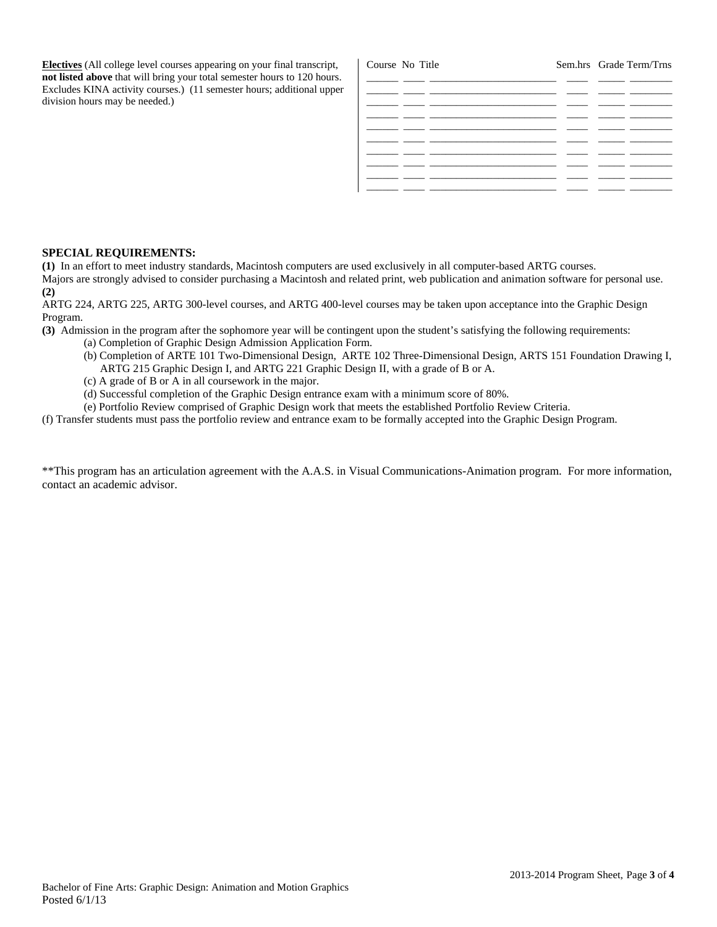**Electives** (All college level courses appearing on your final transcript, **not listed above** that will bring your total semester hours to 120 hours. Excludes KINA activity courses.) (11 semester hours; additional upper division hours may be needed.)

| Course No Title |                                                                                                                                                                                                                                      | Sem.hrs Grade Term/Trns |
|-----------------|--------------------------------------------------------------------------------------------------------------------------------------------------------------------------------------------------------------------------------------|-------------------------|
|                 |                                                                                                                                                                                                                                      |                         |
|                 |                                                                                                                                                                                                                                      |                         |
|                 | <u> The Communication of the Communication of the Communication of the Communication of the Communication of the Communication of the Communication of the Communication of the Communication of the Communication of the Commun</u> |                         |
|                 |                                                                                                                                                                                                                                      |                         |
|                 |                                                                                                                                                                                                                                      |                         |
|                 |                                                                                                                                                                                                                                      |                         |
|                 |                                                                                                                                                                                                                                      |                         |
|                 |                                                                                                                                                                                                                                      |                         |
|                 |                                                                                                                                                                                                                                      |                         |
|                 |                                                                                                                                                                                                                                      |                         |

#### **SPECIAL REQUIREMENTS:**

**(1)** In an effort to meet industry standards, Macintosh computers are used exclusively in all computer-based ARTG courses. Majors are strongly advised to consider purchasing a Macintosh and related print, web publication and animation software for personal use. **(2)**

ARTG 224, ARTG 225, ARTG 300-level courses, and ARTG 400-level courses may be taken upon acceptance into the Graphic Design Program.

**(3)** Admission in the program after the sophomore year will be contingent upon the student's satisfying the following requirements:

- (a) Completion of Graphic Design Admission Application Form.
- (b) Completion of ARTE 101 Two-Dimensional Design, ARTE 102 Three-Dimensional Design, ARTS 151 Foundation Drawing I, ARTG 215 Graphic Design I, and ARTG 221 Graphic Design II, with a grade of B or A.
- (c) A grade of B or A in all coursework in the major.
- (d) Successful completion of the Graphic Design entrance exam with a minimum score of 80%.
- (e) Portfolio Review comprised of Graphic Design work that meets the established Portfolio Review Criteria.

(f) Transfer students must pass the portfolio review and entrance exam to be formally accepted into the Graphic Design Program.

\*\*This program has an articulation agreement with the A.A.S. in Visual Communications-Animation program. For more information, contact an academic advisor.